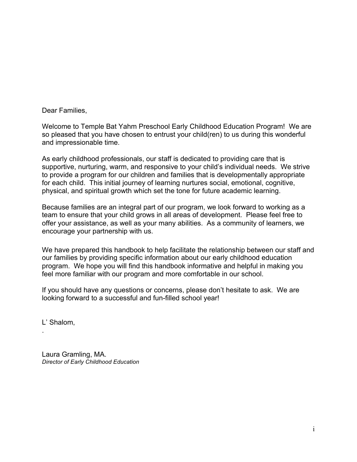Dear Families,

Welcome to Temple Bat Yahm Preschool Early Childhood Education Program! We are so pleased that you have chosen to entrust your child(ren) to us during this wonderful and impressionable time.

As early childhood professionals, our staff is dedicated to providing care that is supportive, nurturing, warm, and responsive to your child's individual needs. We strive to provide a program for our children and families that is developmentally appropriate for each child. This initial journey of learning nurtures social, emotional, cognitive, physical, and spiritual growth which set the tone for future academic learning.

Because families are an integral part of our program, we look forward to working as a team to ensure that your child grows in all areas of development. Please feel free to offer your assistance, as well as your many abilities. As a community of learners, we encourage your partnership with us.

We have prepared this handbook to help facilitate the relationship between our staff and our families by providing specific information about our early childhood education program. We hope you will find this handbook informative and helpful in making you feel more familiar with our program and more comfortable in our school.

If you should have any questions or concerns, please don't hesitate to ask. We are looking forward to a successful and fun-filled school year!

L' Shalom,

.

Laura Gramling, MA. *Director of Early Childhood Education*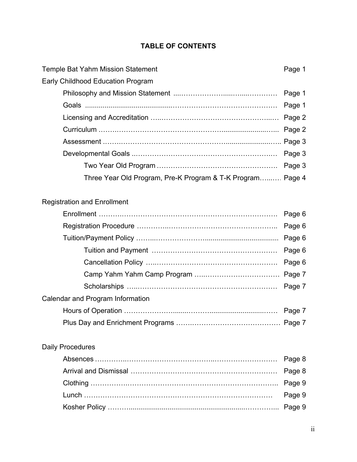## **TABLE OF CONTENTS**

| Temple Bat Yahm Mission Statement                          | Page 1 |
|------------------------------------------------------------|--------|
| <b>Early Childhood Education Program</b>                   |        |
|                                                            |        |
|                                                            |        |
|                                                            |        |
|                                                            |        |
|                                                            |        |
|                                                            |        |
|                                                            |        |
| Three Year Old Program, Pre-K Program & T-K Program Page 4 |        |
|                                                            |        |

# Registration and Enrollment

|                                  | Page 6 |
|----------------------------------|--------|
|                                  |        |
|                                  |        |
| Calendar and Program Information |        |
|                                  |        |
|                                  |        |

# Daily Procedures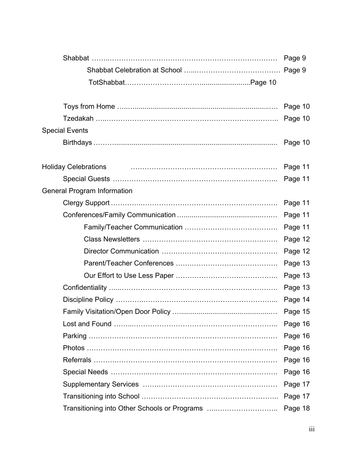|                                              | Page 9  |
|----------------------------------------------|---------|
|                                              | Page 9  |
|                                              |         |
|                                              |         |
|                                              | Page 10 |
|                                              | Page 10 |
| <b>Special Events</b>                        |         |
|                                              |         |
|                                              |         |
| <b>Holiday Celebrations</b>                  | Page 11 |
|                                              | Page 11 |
| <b>General Program Information</b>           |         |
|                                              | Page 11 |
|                                              | Page 11 |
|                                              | Page 11 |
|                                              | Page 12 |
|                                              | Page 12 |
|                                              | Page 13 |
|                                              | Page 13 |
|                                              | Page 13 |
|                                              | Page 14 |
|                                              | Page 15 |
|                                              | Page 16 |
|                                              | Page 16 |
|                                              | Page 16 |
|                                              | Page 16 |
|                                              | Page 16 |
|                                              | Page 17 |
|                                              | Page 17 |
| Transitioning into Other Schools or Programs | Page 18 |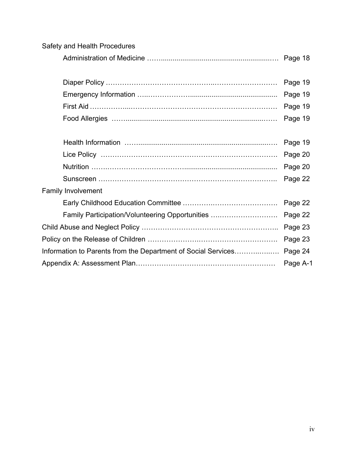| Safety and Health Procedures                                  |         |  |
|---------------------------------------------------------------|---------|--|
|                                                               |         |  |
|                                                               |         |  |
|                                                               | Page 19 |  |
|                                                               | Page 19 |  |
|                                                               | Page 19 |  |
|                                                               | Page 19 |  |
|                                                               |         |  |
|                                                               | Page 19 |  |
|                                                               | Page 20 |  |
|                                                               | Page 20 |  |
|                                                               | Page 22 |  |
| <b>Family Involvement</b>                                     |         |  |
|                                                               | Page 22 |  |
| Family Participation/Volunteering Opportunities               | Page 22 |  |
|                                                               | Page 23 |  |
|                                                               |         |  |
| Information to Parents from the Department of Social Services |         |  |
|                                                               |         |  |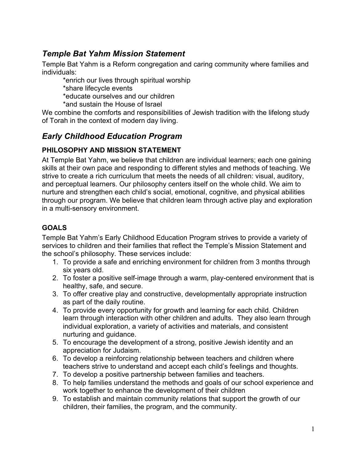## *Temple Bat Yahm Mission Statement*

Temple Bat Yahm is a Reform congregation and caring community where families and individuals:

\*enrich our lives through spiritual worship

\*share lifecycle events

\*educate ourselves and our children

\*and sustain the House of Israel

We combine the comforts and responsibilities of Jewish tradition with the lifelong study of Torah in the context of modern day living.

## *Early Childhood Education Program*

## **PHILOSOPHY AND MISSION STATEMENT**

At Temple Bat Yahm, we believe that children are individual learners; each one gaining skills at their own pace and responding to different styles and methods of teaching. We strive to create a rich curriculum that meets the needs of all children: visual, auditory, and perceptual learners. Our philosophy centers itself on the whole child. We aim to nurture and strengthen each child's social, emotional, cognitive, and physical abilities through our program. We believe that children learn through active play and exploration in a multi-sensory environment.

## **GOALS**

Temple Bat Yahm's Early Childhood Education Program strives to provide a variety of services to children and their families that reflect the Temple's Mission Statement and the school's philosophy. These services include:

- 1. To provide a safe and enriching environment for children from 3 months through six years old.
- 2. To foster a positive self-image through a warm, play-centered environment that is healthy, safe, and secure.
- 3. To offer creative play and constructive, developmentally appropriate instruction as part of the daily routine.
- 4. To provide every opportunity for growth and learning for each child. Children learn through interaction with other children and adults. They also learn through individual exploration, a variety of activities and materials, and consistent nurturing and guidance.
- 5. To encourage the development of a strong, positive Jewish identity and an appreciation for Judaism.
- 6. To develop a reinforcing relationship between teachers and children where teachers strive to understand and accept each child's feelings and thoughts.
- 7. To develop a positive partnership between families and teachers.
- 8. To help families understand the methods and goals of our school experience and work together to enhance the development of their children
- 9. To establish and maintain community relations that support the growth of our children, their families, the program, and the community.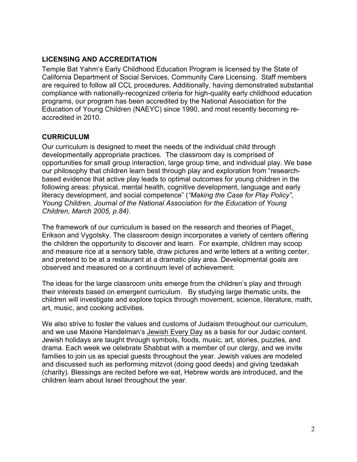### **LICENSING AND ACCREDITATION**

Temple Bat Yahm's Early Childhood Education Program is licensed by the State of California Department of Social Services, Community Care Licensing. Staff members are required to follow all CCL procedures. Additionally, having demonstrated substantial compliance with nationally-recognized criteria for high-quality early childhood education programs, our program has been accredited by the National Association for the Education of Young Children (NAEYC) since 1990, and most recently becoming reaccredited in 2010.

#### **CURRICULUM**

Our curriculum is designed to meet the needs of the individual child through developmentally appropriate practices. The classroom day is comprised of opportunities for small group interaction, large group time, and individual play. We base our philosophy that children learn best through play and exploration from "researchbased evidence that active play leads to optimal outcomes for young children in the following areas: physical, mental health, cognitive development, language and early literacy development, and social competence" (*"Making the Case for Play Policy", Young Children, Journal of the National Association for the Education of Young Children, March 2005, p.84)*.

The framework of our curriculum is based on the research and theories of Piaget, Erikson and Vygotsky. The classroom design incorporates a variety of centers offering the children the opportunity to discover and learn. For example, children may scoop and measure rice at a sensory table, draw pictures and write letters at a writing center, and pretend to be at a restaurant at a dramatic play area. Developmental goals are observed and measured on a continuum level of achievement.

The ideas for the large classroom units emerge from the children's play and through their interests based on emergent curriculum. By studying large thematic units, the children will investigate and explore topics through movement, science, literature, math, art, music, and cooking activities.

We also strive to foster the values and customs of Judaism throughout our curriculum, and we use Maxine Handelman's Jewish Every Day as a basis for our Judaic content. Jewish holidays are taught through symbols, foods, music, art, stories, puzzles, and drama. Each week we celebrate Shabbat with a member of our clergy, and we invite families to join us as special guests throughout the year. Jewish values are modeled and discussed such as performing mitzvot (doing good deeds) and giving tzedakah (charity). Blessings are recited before we eat, Hebrew words are introduced, and the children learn about Israel throughout the year.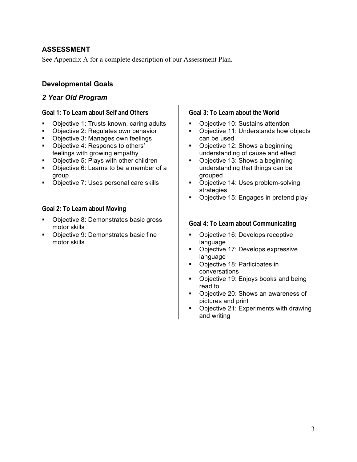### **ASSESSMENT**

See Appendix A for a complete description of our Assessment Plan.

### **Developmental Goals**

### *2 Year Old Program*

#### **Goal 1: To Learn about Self and Others**

- Objective 1: Trusts known, caring adults
- Objective 2: Regulates own behavior
- Objective 3: Manages own feelings
- ! Objective 4: Responds to others' feelings with growing empathy
- ! Objective 5: Plays with other children
- ! Objective 6: Learns to be a member of a group
- ! Objective 7: Uses personal care skills

#### **Goal 2: To Learn about Moving**

- ! Objective 8: Demonstrates basic gross motor skills
- ! Objective 9: Demonstrates basic fine motor skills

#### **Goal 3: To Learn about the World**

- **•** Objective 10: Sustains attention
- Objective 11: Understands how objects can be used
- Objective 12: Shows a beginning understanding of cause and effect
- Objective 13: Shows a beginning understanding that things can be grouped
- **Objective 14: Uses problem-solving** strategies
- Objective 15: Engages in pretend play

#### **Goal 4: To Learn about Communicating**

- **Objective 16: Develops receptive** language
- **Objective 17: Develops expressive** language
- Objective 18: Participates in conversations
- Objective 19: Enjoys books and being read to
- Objective 20: Shows an awareness of pictures and print
- ! Objective 21: Experiments with drawing and writing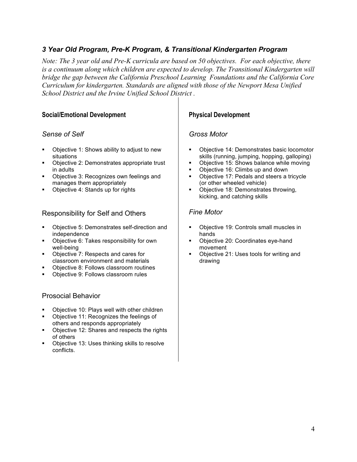### *3 Year Old Program, Pre-K Program, & Transitional Kindergarten Program*

*Note: The 3 year old and Pre-K curricula are based on 50 objectives. For each objective, there is a continuum along which children are expected to develop. The Transitional Kindergarten will bridge the gap between the California Preschool Learning Foundations and the California Core Curriculum for kindergarten. Standards are aligned with those of the Newport Mesa Unified School District and the Irvine Unified School District .*

#### **Social/Emotional Development**

#### *Sense of Self*

- ! Objective 1: Shows ability to adjust to new situations
- ! Objective 2: Demonstrates appropriate trust in adults
- ! Objective 3: Recognizes own feelings and manages them appropriately
- Objective 4: Stands up for rights

#### Responsibility for Self and Others

- ! Objective 5: Demonstrates self-direction and independence
- ! Objective 6: Takes responsibility for own well-being
- ! Objective 7: Respects and cares for classroom environment and materials
- ! Objective 8: Follows classroom routines
- Objective 9: Follows classroom rules

#### Prosocial Behavior

- Objective 10: Plays well with other children
- Objective 11: Recognizes the feelings of others and responds appropriately
- Objective 12: Shares and respects the rights of others
- Objective 13: Uses thinking skills to resolve conflicts.

#### **Physical Development**

#### *Gross Motor*

- ! Objective 14: Demonstrates basic locomotor skills (running, jumping, hopping, galloping)
- Objective 15: Shows balance while moving
- Objective 16: Climbs up and down
- Objective 17: Pedals and steers a tricycle (or other wheeled vehicle)
- Objective 18: Demonstrates throwing, kicking, and catching skills

#### *Fine Motor*

- Objective 19: Controls small muscles in hands
- Objective 20: Coordinates eye-hand movement
- Objective 21: Uses tools for writing and drawing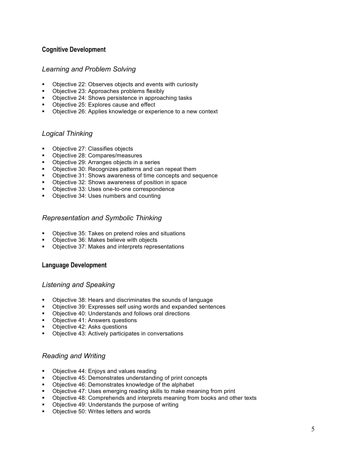#### **Cognitive Development**

#### *Learning and Problem Solving*

- ! Objective 22: Observes objects and events with curiosity
- ! Objective 23: Approaches problems flexibly
- ! Objective 24: Shows persistence in approaching tasks
- Objective 25: Explores cause and effect
- ! Objective 26: Applies knowledge or experience to a new context

#### *Logical Thinking*

- Objective 27: Classifies objects
- ! Objective 28: Compares/measures
- ! Objective 29: Arranges objects in a series
- ! Objective 30: Recognizes patterns and can repeat them
- ! Objective 31: Shows awareness of time concepts and sequence
- ! Objective 32: Shows awareness of position in space
- ! Objective 33: Uses one-to-one correspondence
- ! Objective 34: Uses numbers and counting

#### *Representation and Symbolic Thinking*

- ! Objective 35: Takes on pretend roles and situations
- Objective 36: Makes believe with objects
- ! Objective 37: Makes and interprets representations

#### **Language Development**

#### *Listening and Speaking*

- ! Objective 38: Hears and discriminates the sounds of language
- ! Objective 39: Expresses self using words and expanded sentences
- Objective 40: Understands and follows oral directions
- Objective 41: Answers questions
- Objective 42: Asks questions
- Objective 43: Actively participates in conversations

#### *Reading and Writing*

- ! Objective 44: Enjoys and values reading
- ! Objective 45: Demonstrates understanding of print concepts
- ! Objective 46: Demonstrates knowledge of the alphabet
- ! Objective 47: Uses emerging reading skills to make meaning from print
- ! Objective 48: Comprehends and interprets meaning from books and other texts
- Objective 49: Understands the purpose of writing
- Objective 50: Writes letters and words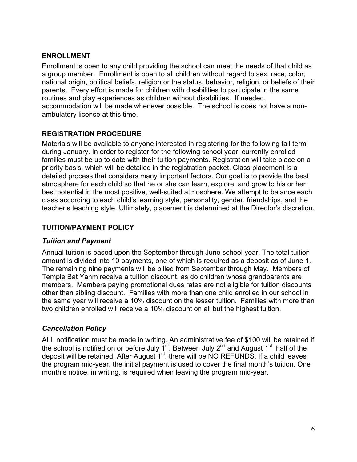### **ENROLLMENT**

Enrollment is open to any child providing the school can meet the needs of that child as a group member. Enrollment is open to all children without regard to sex, race, color, national origin, political beliefs, religion or the status, behavior, religion, or beliefs of their parents. Every effort is made for children with disabilities to participate in the same routines and play experiences as children without disabilities. If needed, accommodation will be made whenever possible. The school is does not have a nonambulatory license at this time.

### **REGISTRATION PROCEDURE**

Materials will be available to anyone interested in registering for the following fall term during January. In order to register for the following school year, currently enrolled families must be up to date with their tuition payments. Registration will take place on a priority basis, which will be detailed in the registration packet. Class placement is a detailed process that considers many important factors. Our goal is to provide the best atmosphere for each child so that he or she can learn, explore, and grow to his or her best potential in the most positive, well-suited atmosphere. We attempt to balance each class according to each child's learning style, personality, gender, friendships, and the teacher's teaching style. Ultimately, placement is determined at the Director's discretion.

### **TUITION/PAYMENT POLICY**

### *Tuition and Payment*

Annual tuition is based upon the September through June school year. The total tuition amount is divided into 10 payments, one of which is required as a deposit as of June 1. The remaining nine payments will be billed from September through May. Members of Temple Bat Yahm receive a tuition discount, as do children whose grandparents are members. Members paying promotional dues rates are not eligible for tuition discounts other than sibling discount. Families with more than one child enrolled in our school in the same year will receive a 10% discount on the lesser tuition. Families with more than two children enrolled will receive a 10% discount on all but the highest tuition.

### *Cancellation Policy*

ALL notification must be made in writing. An administrative fee of \$100 will be retained if the school is notified on or before July  $\tilde{I}^{st}$ . Between July 2<sup>nd</sup> and August 1<sup>st</sup> half of the deposit will be retained. After August  $1<sup>st</sup>$ , there will be NO REFUNDS. If a child leaves the program mid-year, the initial payment is used to cover the final month's tuition. One month's notice, in writing, is required when leaving the program mid-year.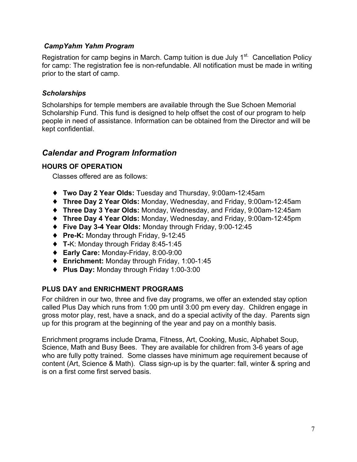### *CampYahm Yahm Program*

Registration for camp begins in March. Camp tuition is due July 1<sup>st.</sup> Cancellation Policy for camp: The registration fee is non-refundable. All notification must be made in writing prior to the start of camp.

#### *Scholarships*

Scholarships for temple members are available through the Sue Schoen Memorial Scholarship Fund. This fund is designed to help offset the cost of our program to help people in need of assistance. Information can be obtained from the Director and will be kept confidential.

## *Calendar and Program Information*

#### **HOURS OF OPERATION**

Classes offered are as follows:

- ♦ **Two Day 2 Year Olds:** Tuesday and Thursday, 9:00am-12:45am
- ♦ **Three Day 2 Year Olds:** Monday, Wednesday, and Friday, 9:00am-12:45am
- ♦ **Three Day 3 Year Olds:** Monday, Wednesday, and Friday, 9:00am-12:45am
- ♦ **Three Day 4 Year Olds:** Monday, Wednesday, and Friday, 9:00am-12:45pm
- ♦ **Five Day 3-4 Year Olds:** Monday through Friday, 9:00-12:45
- ♦ **Pre-K:** Monday through Friday, 9-12:45
- ♦ **T-**K: Monday through Friday 8:45-1:45
- ♦ **Early Care:** Monday-Friday, 8:00-9:00
- ♦ **Enrichment:** Monday through Friday, 1:00-1:45
- ♦ **Plus Day:** Monday through Friday 1:00-3:00

### **PLUS DAY and ENRICHMENT PROGRAMS**

For children in our two, three and five day programs, we offer an extended stay option called Plus Day which runs from 1:00 pm until 3:00 pm every day. Children engage in gross motor play, rest, have a snack, and do a special activity of the day. Parents sign up for this program at the beginning of the year and pay on a monthly basis.

Enrichment programs include Drama, Fitness, Art, Cooking, Music, Alphabet Soup, Science, Math and Busy Bees. They are available for children from 3-6 years of age who are fully potty trained. Some classes have minimum age requirement because of content (Art, Science & Math). Class sign-up is by the quarter: fall, winter & spring and is on a first come first served basis.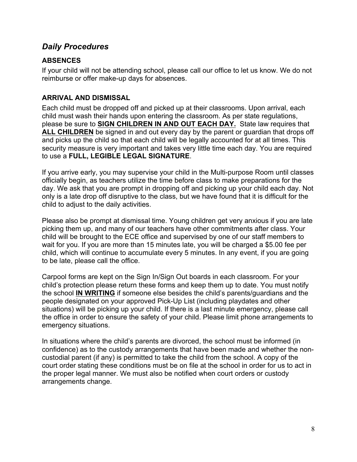## *Daily Procedures*

## **ABSENCES**

If your child will not be attending school, please call our office to let us know. We do not reimburse or offer make-up days for absences.

## **ARRIVAL AND DISMISSAL**

Each child must be dropped off and picked up at their classrooms. Upon arrival, each child must wash their hands upon entering the classroom. As per state regulations, please be sure to **SIGN CHILDREN IN AND OUT EACH DAY.** State law requires that **ALL CHILDREN** be signed in and out every day by the parent or guardian that drops off and picks up the child so that each child will be legally accounted for at all times. This security measure is very important and takes very little time each day. You are required to use a **FULL, LEGIBLE LEGAL SIGNATURE**.

If you arrive early, you may supervise your child in the Multi-purpose Room until classes officially begin, as teachers utilize the time before class to make preparations for the day. We ask that you are prompt in dropping off and picking up your child each day. Not only is a late drop off disruptive to the class, but we have found that it is difficult for the child to adjust to the daily activities.

Please also be prompt at dismissal time. Young children get very anxious if you are late picking them up, and many of our teachers have other commitments after class. Your child will be brought to the ECE office and supervised by one of our staff members to wait for you. If you are more than 15 minutes late, you will be charged a \$5.00 fee per child, which will continue to accumulate every 5 minutes. In any event, if you are going to be late, please call the office.

Carpool forms are kept on the Sign In/Sign Out boards in each classroom. For your child's protection please return these forms and keep them up to date. You must notify the school **IN WRITING** if someone else besides the child's parents/guardians and the people designated on your approved Pick-Up List (including playdates and other situations) will be picking up your child. If there is a last minute emergency, please call the office in order to ensure the safety of your child. Please limit phone arrangements to emergency situations.

In situations where the child's parents are divorced, the school must be informed (in confidence) as to the custody arrangements that have been made and whether the noncustodial parent (if any) is permitted to take the child from the school. A copy of the court order stating these conditions must be on file at the school in order for us to act in the proper legal manner. We must also be notified when court orders or custody arrangements change.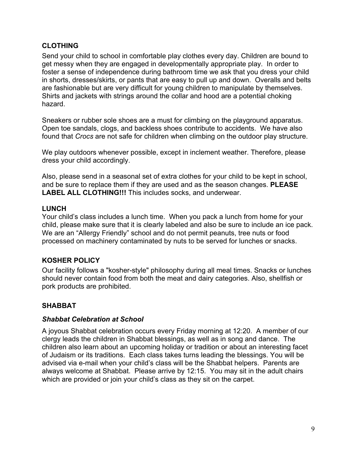### **CLOTHING**

Send your child to school in comfortable play clothes every day. Children are bound to get messy when they are engaged in developmentally appropriate play. In order to foster a sense of independence during bathroom time we ask that you dress your child in shorts, dresses/skirts, or pants that are easy to pull up and down. Overalls and belts are fashionable but are very difficult for young children to manipulate by themselves. Shirts and jackets with strings around the collar and hood are a potential choking hazard.

Sneakers or rubber sole shoes are a must for climbing on the playground apparatus. Open toe sandals, clogs, and backless shoes contribute to accidents. We have also found that *Crocs* are not safe for children when climbing on the outdoor play structure.

We play outdoors whenever possible, except in inclement weather. Therefore, please dress your child accordingly.

Also, please send in a seasonal set of extra clothes for your child to be kept in school, and be sure to replace them if they are used and as the season changes. **PLEASE LABEL ALL CLOTHING!!!** This includes socks, and underwear.

### **LUNCH**

Your child's class includes a lunch time. When you pack a lunch from home for your child, please make sure that it is clearly labeled and also be sure to include an ice pack. We are an "Allergy Friendly" school and do not permit peanuts, tree nuts or food processed on machinery contaminated by nuts to be served for lunches or snacks.

### **KOSHER POLICY**

Our facility follows a "kosher-style" philosophy during all meal times. Snacks or lunches should never contain food from both the meat and dairy categories. Also, shellfish or pork products are prohibited.

## **SHABBAT**

### *Shabbat Celebration at School*

A joyous Shabbat celebration occurs every Friday morning at 12:20. A member of our clergy leads the children in Shabbat blessings, as well as in song and dance. The children also learn about an upcoming holiday or tradition or about an interesting facet of Judaism or its traditions. Each class takes turns leading the blessings. You will be advised via e-mail when your child's class will be the Shabbat helpers. Parents are always welcome at Shabbat. Please arrive by 12:15. You may sit in the adult chairs which are provided or join your child's class as they sit on the carpet.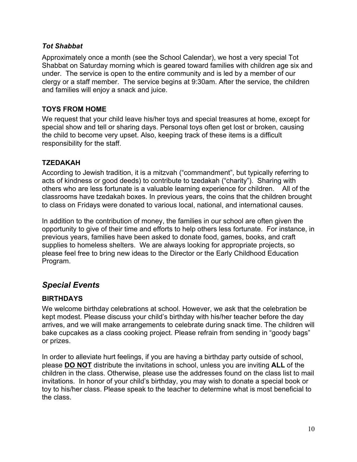### *Tot Shabbat*

Approximately once a month (see the School Calendar), we host a very special Tot Shabbat on Saturday morning which is geared toward families with children age six and under. The service is open to the entire community and is led by a member of our clergy or a staff member. The service begins at 9:30am. After the service, the children and families will enjoy a snack and juice.

### **TOYS FROM HOME**

We request that your child leave his/her toys and special treasures at home, except for special show and tell or sharing days. Personal toys often get lost or broken, causing the child to become very upset. Also, keeping track of these items is a difficult responsibility for the staff.

### **TZEDAKAH**

According to Jewish tradition, it is a mitzvah ("commandment", but typically referring to acts of kindness or good deeds) to contribute to tzedakah ("charity"). Sharing with others who are less fortunate is a valuable learning experience for children. All of the classrooms have tzedakah boxes. In previous years, the coins that the children brought to class on Fridays were donated to various local, national, and international causes.

In addition to the contribution of money, the families in our school are often given the opportunity to give of their time and efforts to help others less fortunate. For instance, in previous years, families have been asked to donate food, games, books, and craft supplies to homeless shelters. We are always looking for appropriate projects, so please feel free to bring new ideas to the Director or the Early Childhood Education Program.

## *Special Events*

### **BIRTHDAYS**

We welcome birthday celebrations at school. However, we ask that the celebration be kept modest. Please discuss your child's birthday with his/her teacher before the day arrives, and we will make arrangements to celebrate during snack time. The children will bake cupcakes as a class cooking project. Please refrain from sending in "goody bags" or prizes.

In order to alleviate hurt feelings, if you are having a birthday party outside of school, please **DO NOT** distribute the invitations in school, unless you are inviting **ALL** of the children in the class. Otherwise, please use the addresses found on the class list to mail invitations. In honor of your child's birthday, you may wish to donate a special book or toy to his/her class. Please speak to the teacher to determine what is most beneficial to the class.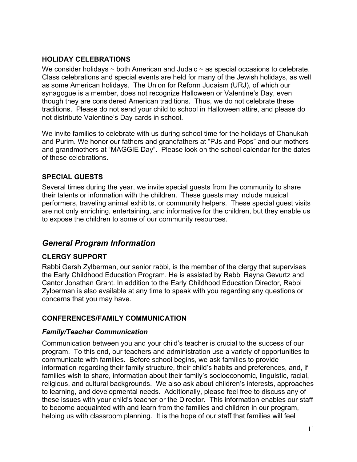### **HOLIDAY CELEBRATIONS**

We consider holidays  $\sim$  both American and Judaic  $\sim$  as special occasions to celebrate. Class celebrations and special events are held for many of the Jewish holidays, as well as some American holidays. The Union for Reform Judaism (URJ), of which our synagogue is a member, does not recognize Halloween or Valentine's Day, even though they are considered American traditions. Thus, we do not celebrate these traditions. Please do not send your child to school in Halloween attire, and please do not distribute Valentine's Day cards in school.

We invite families to celebrate with us during school time for the holidays of Chanukah and Purim. We honor our fathers and grandfathers at "PJs and Pops" and our mothers and grandmothers at "MAGGIE Day". Please look on the school calendar for the dates of these celebrations.

## **SPECIAL GUESTS**

Several times during the year, we invite special guests from the community to share their talents or information with the children. These guests may include musical performers, traveling animal exhibits, or community helpers. These special guest visits are not only enriching, entertaining, and informative for the children, but they enable us to expose the children to some of our community resources.

## *General Program Information*

## **CLERGY SUPPORT**

Rabbi Gersh Zylberman, our senior rabbi, is the member of the clergy that supervises the Early Childhood Education Program. He is assisted by Rabbi Rayna Gevurtz and Cantor Jonathan Grant. In addition to the Early Childhood Education Director, Rabbi Zylberman is also available at any time to speak with you regarding any questions or concerns that you may have.

### **CONFERENCES/FAMILY COMMUNICATION**

### *Family/Teacher Communication*

Communication between you and your child's teacher is crucial to the success of our program. To this end, our teachers and administration use a variety of opportunities to communicate with families. Before school begins, we ask families to provide information regarding their family structure, their child's habits and preferences, and, if families wish to share, information about their family's socioeconomic, linguistic, racial, religious, and cultural backgrounds. We also ask about children's interests, approaches to learning, and developmental needs. Additionally, please feel free to discuss any of these issues with your child's teacher or the Director. This information enables our staff to become acquainted with and learn from the families and children in our program, helping us with classroom planning. It is the hope of our staff that families will feel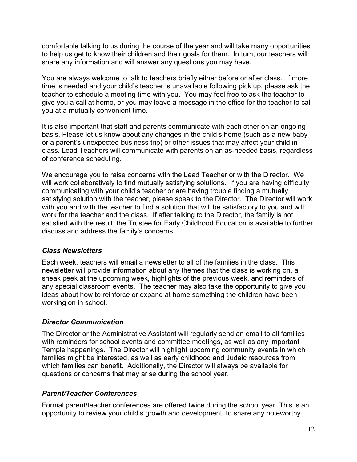comfortable talking to us during the course of the year and will take many opportunities to help us get to know their children and their goals for them. In turn, our teachers will share any information and will answer any questions you may have.

You are always welcome to talk to teachers briefly either before or after class. If more time is needed and your child's teacher is unavailable following pick up, please ask the teacher to schedule a meeting time with you. You may feel free to ask the teacher to give you a call at home, or you may leave a message in the office for the teacher to call you at a mutually convenient time.

It is also important that staff and parents communicate with each other on an ongoing basis. Please let us know about any changes in the child's home (such as a new baby or a parent's unexpected business trip) or other issues that may affect your child in class. Lead Teachers will communicate with parents on an as-needed basis, regardless of conference scheduling.

We encourage you to raise concerns with the Lead Teacher or with the Director. We will work collaboratively to find mutually satisfying solutions. If you are having difficulty communicating with your child's teacher or are having trouble finding a mutually satisfying solution with the teacher, please speak to the Director. The Director will work with you and with the teacher to find a solution that will be satisfactory to you and will work for the teacher and the class. If after talking to the Director, the family is not satisfied with the result, the Trustee for Early Childhood Education is available to further discuss and address the family's concerns.

#### *Class Newsletters*

Each week, teachers will email a newsletter to all of the families in the class. This newsletter will provide information about any themes that the class is working on, a sneak peek at the upcoming week, highlights of the previous week, and reminders of any special classroom events. The teacher may also take the opportunity to give you ideas about how to reinforce or expand at home something the children have been working on in school.

#### *Director Communication*

The Director or the Administrative Assistant will regularly send an email to all families with reminders for school events and committee meetings, as well as any important Temple happenings. The Director will highlight upcoming community events in which families might be interested, as well as early childhood and Judaic resources from which families can benefit. Additionally, the Director will always be available for questions or concerns that may arise during the school year.

### *Parent/Teacher Conferences*

Formal parent/teacher conferences are offered twice during the school year. This is an opportunity to review your child's growth and development, to share any noteworthy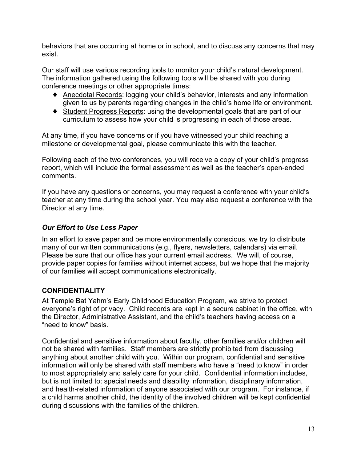behaviors that are occurring at home or in school, and to discuss any concerns that may exist.

Our staff will use various recording tools to monitor your child's natural development. The information gathered using the following tools will be shared with you during conference meetings or other appropriate times:

- ♦ Anecdotal Records: logging your child's behavior, interests and any information given to us by parents regarding changes in the child's home life or environment.
- ♦ Student Progress Reports: using the developmental goals that are part of our curriculum to assess how your child is progressing in each of those areas.

At any time, if you have concerns or if you have witnessed your child reaching a milestone or developmental goal, please communicate this with the teacher.

Following each of the two conferences, you will receive a copy of your child's progress report, which will include the formal assessment as well as the teacher's open-ended comments.

If you have any questions or concerns, you may request a conference with your child's teacher at any time during the school year. You may also request a conference with the Director at any time.

## *Our Effort to Use Less Paper*

In an effort to save paper and be more environmentally conscious, we try to distribute many of our written communications (e.g., flyers, newsletters, calendars) via email. Please be sure that our office has your current email address. We will, of course, provide paper copies for families without internet access, but we hope that the majority of our families will accept communications electronically.

## **CONFIDENTIALITY**

At Temple Bat Yahm's Early Childhood Education Program, we strive to protect everyone's right of privacy. Child records are kept in a secure cabinet in the office, with the Director, Administrative Assistant, and the child's teachers having access on a "need to know" basis.

Confidential and sensitive information about faculty, other families and/or children will not be shared with families. Staff members are strictly prohibited from discussing anything about another child with you. Within our program, confidential and sensitive information will only be shared with staff members who have a "need to know" in order to most appropriately and safely care for your child. Confidential information includes, but is not limited to: special needs and disability information, disciplinary information, and health-related information of anyone associated with our program. For instance, if a child harms another child, the identity of the involved children will be kept confidential during discussions with the families of the children.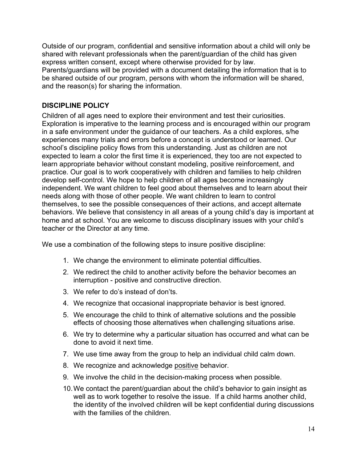Outside of our program, confidential and sensitive information about a child will only be shared with relevant professionals when the parent/guardian of the child has given express written consent, except where otherwise provided for by law.

Parents/guardians will be provided with a document detailing the information that is to be shared outside of our program, persons with whom the information will be shared, and the reason(s) for sharing the information.

### **DISCIPLINE POLICY**

Children of all ages need to explore their environment and test their curiosities. Exploration is imperative to the learning process and is encouraged within our program in a safe environment under the guidance of our teachers. As a child explores, s/he experiences many trials and errors before a concept is understood or learned. Our school's discipline policy flows from this understanding. Just as children are not expected to learn a color the first time it is experienced, they too are not expected to learn appropriate behavior without constant modeling, positive reinforcement, and practice. Our goal is to work cooperatively with children and families to help children develop self-control. We hope to help children of all ages become increasingly independent. We want children to feel good about themselves and to learn about their needs along with those of other people. We want children to learn to control themselves, to see the possible consequences of their actions, and accept alternate behaviors. We believe that consistency in all areas of a young child's day is important at home and at school. You are welcome to discuss disciplinary issues with your child's teacher or the Director at any time.

We use a combination of the following steps to insure positive discipline:

- 1. We change the environment to eliminate potential difficulties.
- 2. We redirect the child to another activity before the behavior becomes an interruption - positive and constructive direction.
- 3. We refer to do's instead of don'ts.
- 4. We recognize that occasional inappropriate behavior is best ignored.
- 5. We encourage the child to think of alternative solutions and the possible effects of choosing those alternatives when challenging situations arise.
- 6. We try to determine why a particular situation has occurred and what can be done to avoid it next time.
- 7. We use time away from the group to help an individual child calm down.
- 8. We recognize and acknowledge positive behavior.
- 9. We involve the child in the decision-making process when possible.
- 10.We contact the parent/guardian about the child's behavior to gain insight as well as to work together to resolve the issue. If a child harms another child, the identity of the involved children will be kept confidential during discussions with the families of the children.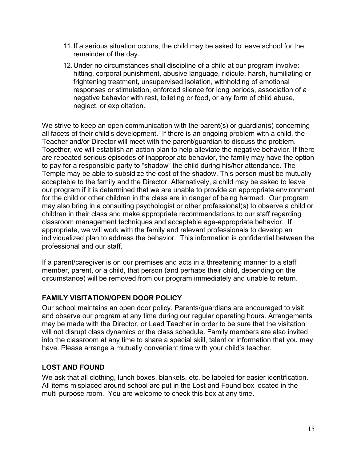- 11.If a serious situation occurs, the child may be asked to leave school for the remainder of the day.
- 12.Under no circumstances shall discipline of a child at our program involve: hitting, corporal punishment, abusive language, ridicule, harsh, humiliating or frightening treatment, unsupervised isolation, withholding of emotional responses or stimulation, enforced silence for long periods, association of a negative behavior with rest, toileting or food, or any form of child abuse, neglect, or exploitation.

We strive to keep an open communication with the parent(s) or guardian(s) concerning all facets of their child's development. If there is an ongoing problem with a child, the Teacher and/or Director will meet with the parent/guardian to discuss the problem. Together, we will establish an action plan to help alleviate the negative behavior. If there are repeated serious episodes of inappropriate behavior, the family may have the option to pay for a responsible party to "shadow" the child during his/her attendance. The Temple may be able to subsidize the cost of the shadow. This person must be mutually acceptable to the family and the Director. Alternatively, a child may be asked to leave our program if it is determined that we are unable to provide an appropriate environment for the child or other children in the class are in danger of being harmed. Our program may also bring in a consulting psychologist or other professional(s) to observe a child or children in their class and make appropriate recommendations to our staff regarding classroom management techniques and acceptable age-appropriate behavior. If appropriate, we will work with the family and relevant professionals to develop an individualized plan to address the behavior. This information is confidential between the professional and our staff.

If a parent/caregiver is on our premises and acts in a threatening manner to a staff member, parent, or a child, that person (and perhaps their child, depending on the circumstance) will be removed from our program immediately and unable to return.

### **FAMILY VISITATION/OPEN DOOR POLICY**

Our school maintains an open door policy. Parents/guardians are encouraged to visit and observe our program at any time during our regular operating hours. Arrangements may be made with the Director, or Lead Teacher in order to be sure that the visitation will not disrupt class dynamics or the class schedule. Family members are also invited into the classroom at any time to share a special skill, talent or information that you may have. Please arrange a mutually convenient time with your child's teacher.

### **LOST AND FOUND**

We ask that all clothing, lunch boxes, blankets, etc. be labeled for easier identification. All items misplaced around school are put in the Lost and Found box located in the multi-purpose room. You are welcome to check this box at any time.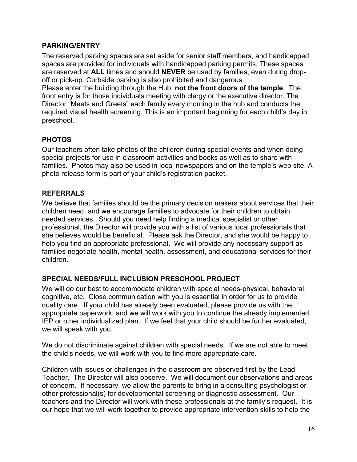### **PARKING/ENTRY**

The reserved parking spaces are set aside for senior staff members, and handicapped spaces are provided for individuals with handicapped parking permits. These spaces are reserved at **ALL** times and should **NEVER** be used by families, even during dropoff or pick-up. Curbside parking is also prohibited and dangerous.

Please enter the building through the Hub, **not the front doors of the temple**. The front entry is for those individuals meeting with clergy or the executive director. The Director "Meets and Greets" each family every morning in the hub and conducts the required visual health screening. This is an important beginning for each child's day in preschool.

## **PHOTOS**

Our teachers often take photos of the children during special events and when doing special projects for use in classroom activities and books as well as to share with families. Photos may also be used in local newspapers and on the temple's web site. A photo release form is part of your child's registration packet.

### **REFERRALS**

We believe that families should be the primary decision makers about services that their children need, and we encourage families to advocate for their children to obtain needed services. Should you need help finding a medical specialist or other professional, the Director will provide you with a list of various local professionals that she believes would be beneficial. Please ask the Director, and she would be happy to help you find an appropriate professional. We will provide any necessary support as families negotiate health, mental health, assessment, and educational services for their children.

## **SPECIAL NEEDS/FULL INCLUSION PRESCHOOL PROJECT**

We will do our best to accommodate children with special needs-physical, behavioral, cognitive, etc. Close communication with you is essential in order for us to provide quality care. If your child has already been evaluated, please provide us with the appropriate paperwork, and we will work with you to continue the already implemented IEP or other individualized plan. If we feel that your child should be further evaluated, we will speak with you.

We do not discriminate against children with special needs. If we are not able to meet the child's needs, we will work with you to find more appropriate care.

Children with issues or challenges in the classroom are observed first by the Lead Teacher. The Director will also observe. We will document our observations and areas of concern. If necessary, we allow the parents to bring in a consulting psychologist or other professional(s) for developmental screening or diagnostic assessment. Our teachers and the Director will work with these professionals at the family's request. It is our hope that we will work together to provide appropriate intervention skills to help the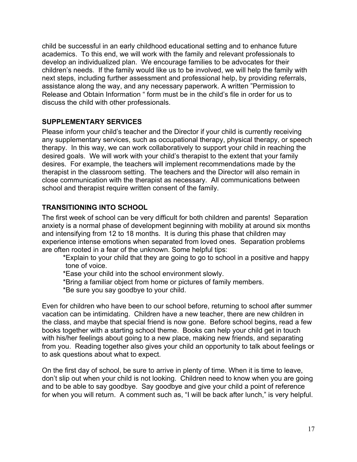child be successful in an early childhood educational setting and to enhance future academics. To this end, we will work with the family and relevant professionals to develop an individualized plan. We encourage families to be advocates for their children's needs. If the family would like us to be involved, we will help the family with next steps, including further assessment and professional help, by providing referrals, assistance along the way, and any necessary paperwork. A written "Permission to Release and Obtain Information " form must be in the child's file in order for us to discuss the child with other professionals.

### **SUPPLEMENTARY SERVICES**

Please inform your child's teacher and the Director if your child is currently receiving any supplementary services, such as occupational therapy, physical therapy, or speech therapy. In this way, we can work collaboratively to support your child in reaching the desired goals. We will work with your child's therapist to the extent that your family desires. For example, the teachers will implement recommendations made by the therapist in the classroom setting. The teachers and the Director will also remain in close communication with the therapist as necessary. All communications between school and therapist require written consent of the family.

#### **TRANSITIONING INTO SCHOOL**

The first week of school can be very difficult for both children and parents! Separation anxiety is a normal phase of development beginning with mobility at around six months and intensifying from 12 to 18 months. It is during this phase that children may experience intense emotions when separated from loved ones. Separation problems are often rooted in a fear of the unknown. Some helpful tips:

\*Explain to your child that they are going to go to school in a positive and happy tone of voice.

\*Ease your child into the school environment slowly.

\*Bring a familiar object from home or pictures of family members.

\*Be sure you say goodbye to your child.

Even for children who have been to our school before, returning to school after summer vacation can be intimidating. Children have a new teacher, there are new children in the class, and maybe that special friend is now gone. Before school begins, read a few books together with a starting school theme. Books can help your child get in touch with his/her feelings about going to a new place, making new friends, and separating from you. Reading together also gives your child an opportunity to talk about feelings or to ask questions about what to expect.

On the first day of school, be sure to arrive in plenty of time. When it is time to leave, don't slip out when your child is not looking. Children need to know when you are going and to be able to say goodbye. Say goodbye and give your child a point of reference for when you will return. A comment such as, "I will be back after lunch," is very helpful.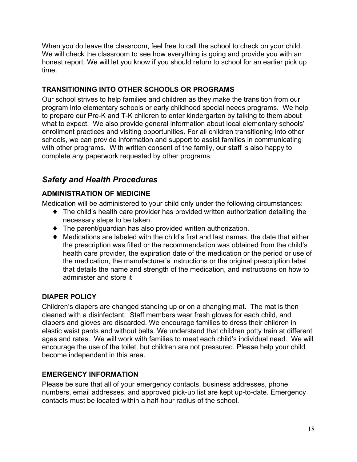When you do leave the classroom, feel free to call the school to check on your child. We will check the classroom to see how everything is going and provide you with an honest report. We will let you know if you should return to school for an earlier pick up time.

## **TRANSITIONING INTO OTHER SCHOOLS OR PROGRAMS**

Our school strives to help families and children as they make the transition from our program into elementary schools or early childhood special needs programs. We help to prepare our Pre-K and T-K children to enter kindergarten by talking to them about what to expect. We also provide general information about local elementary schools' enrollment practices and visiting opportunities. For all children transitioning into other schools, we can provide information and support to assist families in communicating with other programs. With written consent of the family, our staff is also happy to complete any paperwork requested by other programs.

## *Safety and Health Procedures*

## **ADMINISTRATION OF MEDICINE**

Medication will be administered to your child only under the following circumstances:

- ♦ The child's health care provider has provided written authorization detailing the necessary steps to be taken.
- ♦ The parent/guardian has also provided written authorization.
- ♦ Medications are labeled with the child's first and last names, the date that either the prescription was filled or the recommendation was obtained from the child's health care provider, the expiration date of the medication or the period or use of the medication, the manufacturer's instructions or the original prescription label that details the name and strength of the medication, and instructions on how to administer and store it

## **DIAPER POLICY**

Children's diapers are changed standing up or on a changing mat. The mat is then cleaned with a disinfectant. Staff members wear fresh gloves for each child, and diapers and gloves are discarded. We encourage families to dress their children in elastic waist pants and without belts. We understand that children potty train at different ages and rates. We will work with families to meet each child's individual need. We will encourage the use of the toilet, but children are not pressured. Please help your child become independent in this area.

### **EMERGENCY INFORMATION**

Please be sure that all of your emergency contacts, business addresses, phone numbers, email addresses, and approved pick-up list are kept up-to-date. Emergency contacts must be located within a half-hour radius of the school.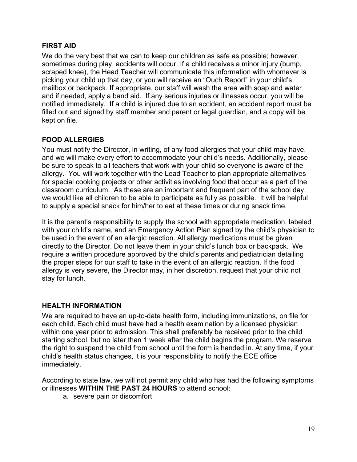### **FIRST AID**

We do the very best that we can to keep our children as safe as possible; however, sometimes during play, accidents will occur. If a child receives a minor injury (bump, scraped knee), the Head Teacher will communicate this information with whomever is picking your child up that day, or you will receive an "Ouch Report" in your child's mailbox or backpack. If appropriate, our staff will wash the area with soap and water and if needed, apply a band aid. If any serious injuries or illnesses occur, you will be notified immediately. If a child is injured due to an accident, an accident report must be filled out and signed by staff member and parent or legal guardian, and a copy will be kept on file.

### **FOOD ALLERGIES**

You must notify the Director, in writing, of any food allergies that your child may have, and we will make every effort to accommodate your child's needs. Additionally, please be sure to speak to all teachers that work with your child so everyone is aware of the allergy. You will work together with the Lead Teacher to plan appropriate alternatives for special cooking projects or other activities involving food that occur as a part of the classroom curriculum. As these are an important and frequent part of the school day, we would like all children to be able to participate as fully as possible. It will be helpful to supply a special snack for him/her to eat at these times or during snack time.

It is the parent's responsibility to supply the school with appropriate medication, labeled with your child's name, and an Emergency Action Plan signed by the child's physician to be used in the event of an allergic reaction. All allergy medications must be given directly to the Director. Do not leave them in your child's lunch box or backpack. We require a written procedure approved by the child's parents and pediatrician detailing the proper steps for our staff to take in the event of an allergic reaction. If the food allergy is very severe, the Director may, in her discretion, request that your child not stay for lunch.

## **HEALTH INFORMATION**

We are required to have an up-to-date health form, including immunizations, on file for each child. Each child must have had a health examination by a licensed physician within one year prior to admission. This shall preferably be received prior to the child starting school, but no later than 1 week after the child begins the program. We reserve the right to suspend the child from school until the form is handed in. At any time, if your child's health status changes, it is your responsibility to notify the ECE office immediately.

According to state law, we will not permit any child who has had the following symptoms or illnesses **WITHIN THE PAST 24 HOURS** to attend school:

a. severe pain or discomfort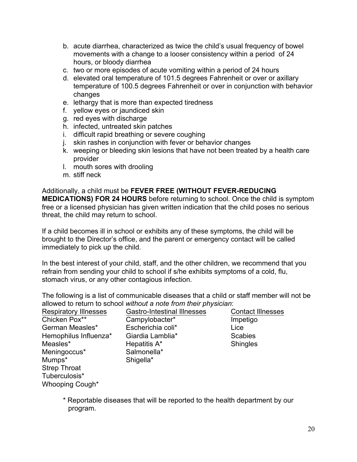- b. acute diarrhea, characterized as twice the child's usual frequency of bowel movements with a change to a looser consistency within a period of 24 hours, or bloody diarrhea
- c. two or more episodes of acute vomiting within a period of 24 hours
- d. elevated oral temperature of 101.5 degrees Fahrenheit or over or axillary temperature of 100.5 degrees Fahrenheit or over in conjunction with behavior changes
- e. lethargy that is more than expected tiredness
- f. yellow eyes or jaundiced skin
- g. red eyes with discharge
- h. infected, untreated skin patches
- i. difficult rapid breathing or severe coughing
- j. skin rashes in conjunction with fever or behavior changes
- k. weeping or bleeding skin lesions that have not been treated by a health care provider
- l. mouth sores with drooling
- m. stiff neck

Additionally, a child must be **FEVER FREE (WITHOUT FEVER-REDUCING MEDICATIONS) FOR 24 HOURS** before returning to school. Once the child is symptom free or a licensed physician has given written indication that the child poses no serious threat, the child may return to school.

If a child becomes ill in school or exhibits any of these symptoms, the child will be brought to the Director's office, and the parent or emergency contact will be called immediately to pick up the child.

In the best interest of your child, staff, and the other children, we recommend that you refrain from sending your child to school if s/he exhibits symptoms of a cold, flu, stomach virus, or any other contagious infection.

The following is a list of communicable diseases that a child or staff member will not be allowed to return to school *without a note from their physician*:

| <b>Respiratory Illnesses</b> | <b>Gastro-Intestinal Illnesses</b> | <b>Contact Illnesses</b> |
|------------------------------|------------------------------------|--------------------------|
| Chicken Pox**                | Campylobacter*                     | Impetigo                 |
| German Measles*              | Escherichia coli*                  | Lice                     |
| Hemophilus Influenza*        | Giardia Lamblia*                   | <b>Scabies</b>           |
| Measles*                     | Hepatitis A*                       | <b>Shingles</b>          |
| Meningoccus*                 | Salmonella*                        |                          |
| Mumps*                       | Shigella*                          |                          |
| <b>Strep Throat</b>          |                                    |                          |
| Tuberculosis*                |                                    |                          |
| Whooping Cough*              |                                    |                          |

\* Reportable diseases that will be reported to the health department by our program.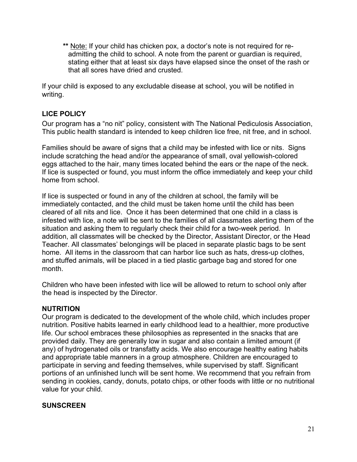**\*\*** Note: If your child has chicken pox, a doctor's note is not required for readmitting the child to school. A note from the parent or guardian is required, stating either that at least six days have elapsed since the onset of the rash or that all sores have dried and crusted.

If your child is exposed to any excludable disease at school, you will be notified in writing.

## **LICE POLICY**

Our program has a "no nit" policy, consistent with The National Pediculosis Association, This public health standard is intended to keep children lice free, nit free, and in school.

Families should be aware of signs that a child may be infested with lice or nits. Signs include scratching the head and/or the appearance of small, oval yellowish-colored eggs attached to the hair, many times located behind the ears or the nape of the neck. If lice is suspected or found, you must inform the office immediately and keep your child home from school.

If lice is suspected or found in any of the children at school, the family will be immediately contacted, and the child must be taken home until the child has been cleared of all nits and lice. Once it has been determined that one child in a class is infested with lice, a note will be sent to the families of all classmates alerting them of the situation and asking them to regularly check their child for a two-week period. In addition, all classmates will be checked by the Director, Assistant Director, or the Head Teacher. All classmates' belongings will be placed in separate plastic bags to be sent home. All items in the classroom that can harbor lice such as hats, dress-up clothes, and stuffed animals, will be placed in a tied plastic garbage bag and stored for one month.

Children who have been infested with lice will be allowed to return to school only after the head is inspected by the Director.

### **NUTRITION**

Our program is dedicated to the development of the whole child, which includes proper nutrition. Positive habits learned in early childhood lead to a healthier, more productive life. Our school embraces these philosophies as represented in the snacks that are provided daily. They are generally low in sugar and also contain a limited amount (if any) of hydrogenated oils or transfatty acids. We also encourage healthy eating habits and appropriate table manners in a group atmosphere. Children are encouraged to participate in serving and feeding themselves, while supervised by staff. Significant portions of an unfinished lunch will be sent home. We recommend that you refrain from sending in cookies, candy, donuts, potato chips, or other foods with little or no nutritional value for your child.

#### **SUNSCREEN**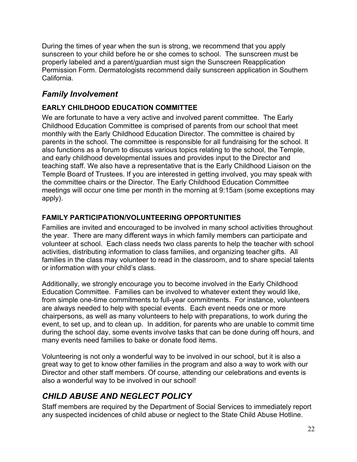During the times of year when the sun is strong, we recommend that you apply sunscreen to your child before he or she comes to school. The sunscreen must be properly labeled and a parent/guardian must sign the Sunscreen Reapplication Permission Form. Dermatologists recommend daily sunscreen application in Southern California.

## *Family Involvement*

### **EARLY CHILDHOOD EDUCATION COMMITTEE**

We are fortunate to have a very active and involved parent committee. The Early Childhood Education Committee is comprised of parents from our school that meet monthly with the Early Childhood Education Director. The committee is chaired by parents in the school. The committee is responsible for all fundraising for the school. It also functions as a forum to discuss various topics relating to the school, the Temple, and early childhood developmental issues and provides input to the Director and teaching staff. We also have a representative that is the Early Childhood Liaison on the Temple Board of Trustees. If you are interested in getting involved, you may speak with the committee chairs or the Director. The Early Childhood Education Committee meetings will occur one time per month in the morning at 9:15am (some exceptions may apply).

## **FAMILY PARTICIPATION/VOLUNTEERING OPPORTUNITIES**

Families are invited and encouraged to be involved in many school activities throughout the year. There are many different ways in which family members can participate and volunteer at school. Each class needs two class parents to help the teacher with school activities, distributing information to class families, and organizing teacher gifts. All families in the class may volunteer to read in the classroom, and to share special talents or information with your child's class.

Additionally, we strongly encourage you to become involved in the Early Childhood Education Committee. Families can be involved to whatever extent they would like, from simple one-time commitments to full-year commitments. For instance, volunteers are always needed to help with special events. Each event needs one or more chairpersons, as well as many volunteers to help with preparations, to work during the event, to set up, and to clean up. In addition, for parents who are unable to commit time during the school day, some events involve tasks that can be done during off hours, and many events need families to bake or donate food items.

Volunteering is not only a wonderful way to be involved in our school, but it is also a great way to get to know other families in the program and also a way to work with our Director and other staff members. Of course, attending our celebrations and events is also a wonderful way to be involved in our school!

## *CHILD ABUSE AND NEGLECT POLICY*

Staff members are required by the Department of Social Services to immediately report any suspected incidences of child abuse or neglect to the State Child Abuse Hotline.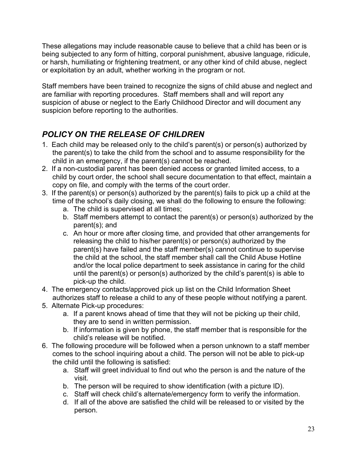These allegations may include reasonable cause to believe that a child has been or is being subjected to any form of hitting, corporal punishment, abusive language, ridicule, or harsh, humiliating or frightening treatment, or any other kind of child abuse, neglect or exploitation by an adult, whether working in the program or not.

Staff members have been trained to recognize the signs of child abuse and neglect and are familiar with reporting procedures. Staff members shall and will report any suspicion of abuse or neglect to the Early Childhood Director and will document any suspicion before reporting to the authorities.

# *POLICY ON THE RELEASE OF CHILDREN*

- 1. Each child may be released only to the child's parent(s) or person(s) authorized by the parent(s) to take the child from the school and to assume responsibility for the child in an emergency, if the parent(s) cannot be reached.
- 2. If a non-custodial parent has been denied access or granted limited access, to a child by court order, the school shall secure documentation to that effect, maintain a copy on file, and comply with the terms of the court order.
- 3. If the parent(s) or person(s) authorized by the parent(s) fails to pick up a child at the time of the school's daily closing, we shall do the following to ensure the following:
	- a. The child is supervised at all times;
	- b. Staff members attempt to contact the parent(s) or person(s) authorized by the parent(s); and
	- c. An hour or more after closing time, and provided that other arrangements for releasing the child to his/her parent(s) or person(s) authorized by the parent(s) have failed and the staff member(s) cannot continue to supervise the child at the school, the staff member shall call the Child Abuse Hotline and/or the local police department to seek assistance in caring for the child until the parent(s) or person(s) authorized by the child's parent(s) is able to pick-up the child.
- 4. The emergency contacts/approved pick up list on the Child Information Sheet authorizes staff to release a child to any of these people without notifying a parent.
- 5. Alternate Pick-up procedures:
	- a. If a parent knows ahead of time that they will not be picking up their child, they are to send in written permission.
	- b. If information is given by phone, the staff member that is responsible for the child's release will be notified.
- 6. The following procedure will be followed when a person unknown to a staff member comes to the school inquiring about a child. The person will not be able to pick-up the child until the following is satisfied:
	- a. Staff will greet individual to find out who the person is and the nature of the visit.
	- b. The person will be required to show identification (with a picture ID).
	- c. Staff will check child's alternate/emergency form to verify the information.
	- d. If all of the above are satisfied the child will be released to or visited by the person.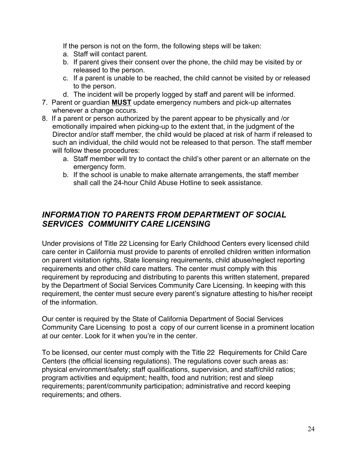If the person is not on the form, the following steps will be taken:

- a. Staff will contact parent.
- b. If parent gives their consent over the phone, the child may be visited by or released to the person.
- c. If a parent is unable to be reached, the child cannot be visited by or released to the person.
- d. The incident will be properly logged by staff and parent will be informed.
- 7. Parent or guardian **MUST** update emergency numbers and pick-up alternates whenever a change occurs.
- 8. If a parent or person authorized by the parent appear to be physically and /or emotionally impaired when picking-up to the extent that, in the judgment of the Director and/or staff member, the child would be placed at risk of harm if released to such an individual, the child would not be released to that person. The staff member will follow these procedures:
	- a. Staff member will try to contact the child's other parent or an alternate on the emergency form.
	- b. If the school is unable to make alternate arrangements, the staff member shall call the 24-hour Child Abuse Hotline to seek assistance.

## *INFORMATION TO PARENTS FROM DEPARTMENT OF SOCIAL SERVICES COMMUNITY CARE LICENSING*

Under provisions of Title 22 Licensing for Early Childhood Centers every licensed child care center in California must provide to parents of enrolled children written information on parent visitation rights, State licensing requirements, child abuse/neglect reporting requirements and other child care matters. The center must comply with this requirement by reproducing and distributing to parents this written statement, prepared by the Department of Social Services Community Care Licensing. In keeping with this requirement, the center must secure every parent's signature attesting to his/her receipt of the information.

Our center is required by the State of California Department of Social Services Community Care Licensing to post a copy of our current license in a prominent location at our center. Look for it when you're in the center.

To be licensed, our center must comply with the Title 22 Requirements for Child Care Centers (the official licensing regulations). The regulations cover such areas as: physical environment/safety; staff qualifications, supervision, and staff/child ratios; program activities and equipment; health, food and nutrition; rest and sleep requirements; parent/community participation; administrative and record keeping requirements; and others.